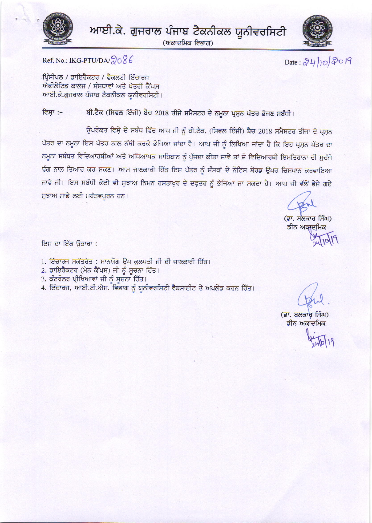

ਆਈ.ਕੇ. ਗੁਜਰਾਲ ਪੰਜਾਬ ਟੈਕਨੀਕਲ ਯੂਨੀਵਰਸਿਟੀ

(ਅਕਾਦਮਿਕ ਵਿਭਾਗ)



Date:  $24/10/2019$ 

Ref. No.: IKG-PTU/DA/ $2086$ 

ਪ੍ਰਿੰਸੀਪਲ / ਡਾਇਰੈਕਟਰ / ਫੈਕਲਟੀ ਇੰਚਾਰਜ ਐਫੀਲੇਟਿਡ ਕਾਲਜ / ਸੰਸਥਾਵਾਂ ਅਤੇ ਖੇਤਰੀ ਕੈਂਪਸ ਆਈ.ਕੇ.ਗੁਜਰਾਲ ਪੰਜਾਬ ਟੈਕਨੀਕਲ ਯੂਨੀਵਰਸਿਟੀ।

ਬੀ.ਟੈਕ (ਸਿਵਲ ਇੰਜੀ) ਬੈਚ 2018 ਤੀਜੇ ਸਮੈਸਟਰ ਦੇ ਨਮੂਨਾ ਪ੍ਰਸ਼ਨ ਪੱਤਰ ਭੇਜਣ ਸਬੰਧੀ। ਵਿਸ਼ਾ :–

ਉਪਰੋਕਤ ਵਿਸ਼ੇ ਦੇ ਸਬੰਧ ਵਿੱਚ ਆਪ ਜੀ ਨੂੰ ਬੀ.ਟੈਕ. (ਸਿਵਲ ਇੰਜੀ) ਬੈਚ 2018 ਸਮੈਸਟਰ ਤੀਜਾ ਦੇ ਪ੍ਰਸ਼ਨ ਪੱਤਰ ਦਾ ਨਮੂਨਾ ਇਸ ਪੱਤਰ ਨਾਲ ਨੱਥੀ ਕਰਕੇ ਭੇਜਿਆ ਜਾਂਦਾ ਹੈ। ਆਪ ਜੀ ਨੂੰ ਲਿਖਿਆ ਜਾਂਦਾ ਹੈ ਕਿ ਇਹ ਪੁਸਨ ਪੱਤਰ ਦਾ ਨਮੂਨਾ ਸਬੰਧਤ ਵਿਦਿਆਰਥੀਆਂ ਅਤੇ ਅਧਿਆਪਕ ਸਾਹਿਬਾਨ ਨੂੰ ਪੁੱਜਦਾ ਕੀਤਾ ਜਾਵੇ ਤਾਂ ਜ਼ੋ ਵਿਦਿਆਰਥੀ ਇਮਤਿਹਾਨਾ ਦੀ ਸੁਚੱਜੇ ਢੰਗ ਨਾਲ ਤਿਆਰ ਕਰ ਸਕਣ। ਆਮ ਜਾਣਕਾਰੀ ਹਿੱਤ ਇਸ ਪੱਤਰ ਨੂੰ ਸੰਸਥਾਂ ਦੇ ਨੋਟਿਸ ਬੋਰਡ ਉਪਰ ਚਿਸਪਾਨ ਕਰਵਾਇਆ ਜਾਵੇ ਜੀ। ਇਸ ਸਬੰਧੀ ਕੋਈ ਵੀ ਸੁਝਾਅ ਨਿਮਨ ਹਸਤਾਖ਼ਰ ਦੇ ਦਫ਼ਤਰ ਨੂੰ ਭੇਜਿਆ ਜਾ ਸਕਦਾ ਹੈ। ਆਪ ਜੀ ਵੱਲੋਂ ਭੇਜੇ ਗਏ ਸੁਝਾਅ ਸਾਡੇ ਲਈ ਮਹੱਤਵਪੂਰਨ ਹਨ।

(ਡਾ. ਬਲਕਾਰ ਸਿੰਘ) ਡੀਨ ਅਕਾਦਮਿਕ

ਇਸ ਦਾ ਇੱਕ ਉਤਾਰਾ :

1. ਇੰਚਾਰਜ ਸਕੱਤਰੇਤ : ਮਾਨਯੋਗ ਉਪ ਕੁਲਪਤੀ ਜੀ ਦੀ ਜਾਣਕਾਰੀ ਹਿੱਤ।

- 2. ਡਾਇਰੈਕਟਰ (ਮੇਨ ਕੈਂਪਸ) ਜੀ ਨੂੰ ਸੂਚਨਾ ਹਿੱਤ।
- 3. ਕੰਟਰੋਲਰ ਪ੍ਰੀਖਿਆਵਾਂ ਜੀ ਨੂੰ ਸੂਚਨਾ ਹਿੱਤ।

4. ਇੰਚਾਰਜ, ਆਈ.ਟੀ.ਐਸ. ਵਿਭਾਗ ਨੂੰ ਯੂਨੀਵਰਸਿਟੀ ਵੈਬਸਾਈਟ ਤੇ ਅਪਲੋਡ ਕਰਨ ਹਿੱਤ।

(ਡਾ. ਬਲਕਾਰ ਸਿੰਘ) ਡੀਨ ਅਕਾਦਮਿਕ